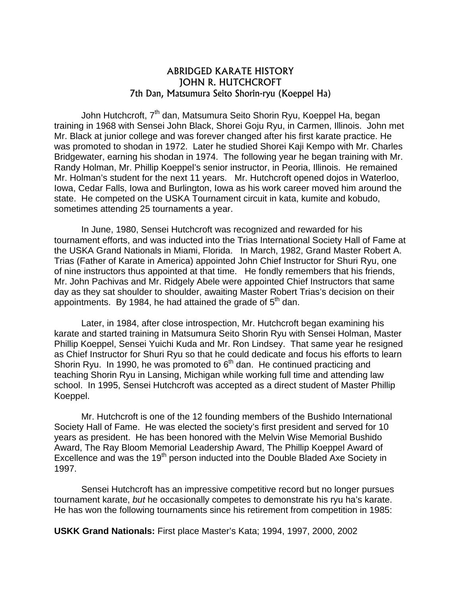## ABRIDGED KARATE HISTORY JOHN R. HUTCHCROFT 7th Dan, Matsumura Seito Shorin-ryu (Koeppel Ha)

John Hutchcroft, 7<sup>th</sup> dan, Matsumura Seito Shorin Ryu, Koeppel Ha, began training in 1968 with Sensei John Black, Shorei Goju Ryu, in Carmen, Illinois. John met Mr. Black at junior college and was forever changed after his first karate practice. He was promoted to shodan in 1972. Later he studied Shorei Kaji Kempo with Mr. Charles Bridgewater, earning his shodan in 1974. The following year he began training with Mr. Randy Holman, Mr. Phillip Koeppel's senior instructor, in Peoria, Illinois. He remained Mr. Holman's student for the next 11 years. Mr. Hutchcroft opened dojos in Waterloo, Iowa, Cedar Falls, Iowa and Burlington, Iowa as his work career moved him around the state. He competed on the USKA Tournament circuit in kata, kumite and kobudo, sometimes attending 25 tournaments a year.

In June, 1980, Sensei Hutchcroft was recognized and rewarded for his tournament efforts, and was inducted into the Trias International Society Hall of Fame at the USKA Grand Nationals in Miami, Florida. In March, 1982, Grand Master Robert A. Trias (Father of Karate in America) appointed John Chief Instructor for Shuri Ryu, one of nine instructors thus appointed at that time. He fondly remembers that his friends, Mr. John Pachivas and Mr. Ridgely Abele were appointed Chief Instructors that same day as they sat shoulder to shoulder, awaiting Master Robert Trias's decision on their appointments. By 1984, he had attained the grade of  $5<sup>th</sup>$  dan.

Later, in 1984, after close introspection, Mr. Hutchcroft began examining his karate and started training in Matsumura Seito Shorin Ryu with Sensei Holman, Master Phillip Koeppel, Sensei Yuichi Kuda and Mr. Ron Lindsey. That same year he resigned as Chief Instructor for Shuri Ryu so that he could dedicate and focus his efforts to learn Shorin Ryu. In 1990, he was promoted to  $6<sup>th</sup>$  dan. He continued practicing and teaching Shorin Ryu in Lansing, Michigan while working full time and attending law school. In 1995, Sensei Hutchcroft was accepted as a direct student of Master Phillip Koeppel.

Mr. Hutchcroft is one of the 12 founding members of the Bushido International Society Hall of Fame. He was elected the society's first president and served for 10 years as president. He has been honored with the Melvin Wise Memorial Bushido Award, The Ray Bloom Memorial Leadership Award, The Phillip Koeppel Award of Excellence and was the 19<sup>th</sup> person inducted into the Double Bladed Axe Society in 1997.

Sensei Hutchcroft has an impressive competitive record but no longer pursues tournament karate, *but* he occasionally competes to demonstrate his ryu ha's karate. He has won the following tournaments since his retirement from competition in 1985:

**USKK Grand Nationals:** First place Master's Kata; 1994, 1997, 2000, 2002